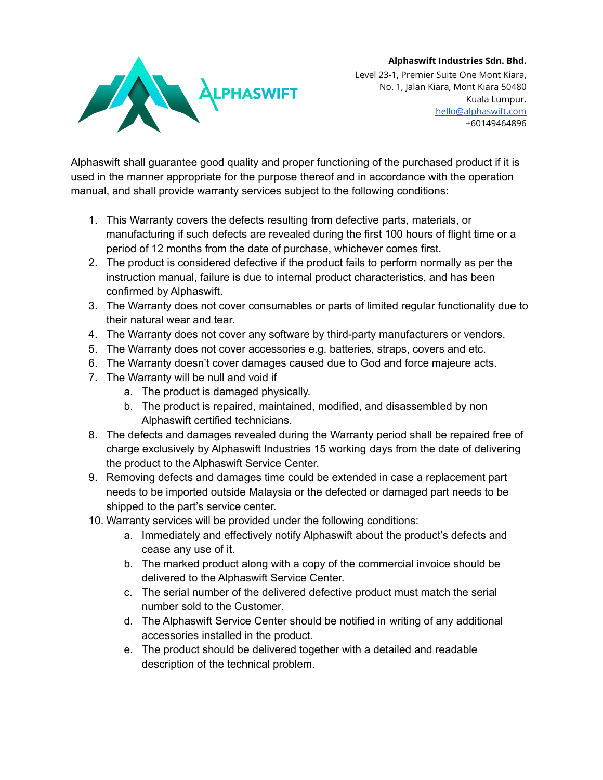## **Alphaswift Industries Sdn. Bhd.**



Level 23-1, Premier Suite One Mont Kiara, No. 1, Jalan Kiara, Mont Kiara 50480 Kuala Lumpur. [hello@alphaswift.com](mailto:hello@alphaswift.com) +60149464896

Alphaswift shall guarantee good quality and proper functioning of the purchased product if it is used in the manner appropriate for the purpose thereof and in accordance with the operation manual, and shall provide warranty services subject to the following conditions:

- 1. This Warranty covers the defects resulting from defective parts, materials, or manufacturing if such defects are revealed during the first 100 hours of flight time or a period of 12 months from the date of purchase, whichever comes first.
- 2. The product is considered defective if the product fails to perform normally as per the instruction manual, failure is due to internal product characteristics, and has been confirmed by Alphaswift.
- 3. The Warranty does not cover consumables or parts of limited regular functionality due to their natural wear and tear.
- 4. The Warranty does not cover any software by third-party manufacturers or vendors.
- 5. The Warranty does not cover accessories e.g. batteries, straps, covers and etc.
- 6. The Warranty doesn't cover damages caused due to God and force majeure acts.
- 7. The Warranty will be null and void if
	- a. The product is damaged physically.
	- b. The product is repaired, maintained, modified, and disassembled by non Alphaswift certified technicians.
- 8. The defects and damages revealed during the Warranty period shall be repaired free of charge exclusively by Alphaswift Industries 15 working days from the date of delivering the product to the Alphaswift Service Center.
- 9. Removing defects and damages time could be extended in case a replacement part needs to be imported outside Malaysia or the defected or damaged part needs to be shipped to the part's service center.
- 10. Warranty services will be provided under the following conditions:
	- a. Immediately and effectively notify Alphaswift about the product's defects and cease any use of it.
	- b. The marked product along with a copy of the commercial invoice should be delivered to the Alphaswift Service Center.
	- c. The serial number of the delivered defective product must match the serial number sold to the Customer.
	- d. The Alphaswift Service Center should be notified in writing of any additional accessories installed in the product.
	- e. The product should be delivered together with a detailed and readable description of the technical problem.